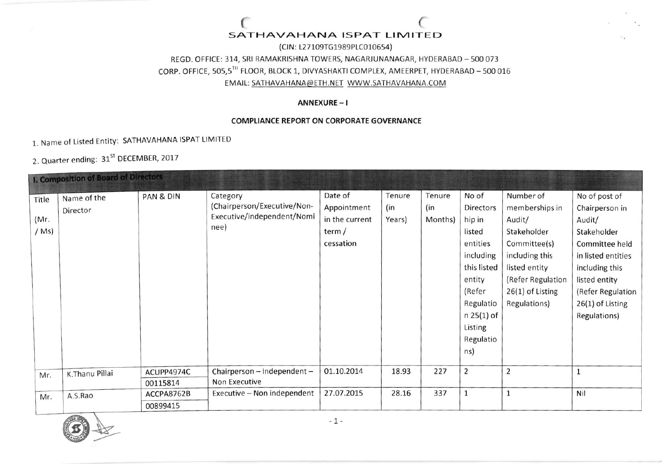# SATHAVAHANA ISPAT LIMITED

(CIN: L27109TG1989PLC010654) REGD. OFFICE: 314, SRI RAMAKRISHNA TOWERS, NAGARJUNANAGAR, HYDERABAD - 500 073 CORP. OFFICE, 505,5TH FLOOR, BLOCK 1, DIVYASHAKTI COMPLEX, AMEERPET, HYDERABAD - 500 016 EMAIL: SATHAVAHANA@ETH.NET\_WWW.SATHAVAHANA.COM

#### ANNEXURE-I

### **COMPLIANCE REPORT ON CORPORATE GOVERNANCE**

1. Name of Listed Entity: SATHAVAHANA ISPAT LIMITED

2. Quarter ending: 31<sup>ST</sup> DECEMBER, 2017

|         | <b>I. Composition of Board of Directors</b> |            |                             |                |        |         |                |                   |                    |
|---------|---------------------------------------------|------------|-----------------------------|----------------|--------|---------|----------------|-------------------|--------------------|
| Title   | Name of the                                 | PAN & DIN  | Category                    | Date of        | Tenure | Tenure  | No of          | Number of         | No of post of      |
|         | Director                                    |            | (Chairperson/Executive/Non- | Appointment    | (in    | (in     | Directors      | memberships in    | Chairperson in     |
| (Mr.    |                                             |            | Executive/independent/Nomi  | in the current | Years) | Months) | hip in         | Audit/            | Audit/             |
| $/$ Ms) |                                             |            | nee)                        | term /         |        |         | listed         | Stakeholder       | Stakeholder        |
|         |                                             |            |                             | cessation      |        |         | entities       | Committee(s)      | Committee held     |
|         |                                             |            |                             |                |        |         | including      | including this    | in listed entities |
|         |                                             |            |                             |                |        |         | this listed    | listed entity     | including this     |
|         |                                             |            |                             |                |        |         | entity         | (Refer Regulation | listed entity      |
|         |                                             |            |                             |                |        |         | (Refer         | 26(1) of Listing  | (Refer Regulation  |
|         |                                             |            |                             |                |        |         | Regulatio      | Regulations)      | 26(1) of Listing   |
|         |                                             |            |                             |                |        |         | $n 25(1)$ of   |                   | Regulations)       |
|         |                                             |            |                             |                |        |         | Listing        |                   |                    |
|         |                                             |            |                             |                |        |         | Regulatio      |                   |                    |
|         |                                             |            |                             |                |        |         | ns)            |                   |                    |
|         |                                             |            |                             |                |        |         |                |                   |                    |
| Mr.     | K.Thanu Pillai                              | ACUPP4974C | Chairperson - Independent - | 01.10.2014     | 18.93  | 227     | $\overline{2}$ | $\overline{2}$    |                    |
|         |                                             | 00115814   | Non Executive               |                |        |         |                |                   |                    |
| Mr.     | A.S.Rao                                     | ACCPA8762B | Executive - Non independent | 27.07.2015     | 28.16  | 337     | 1              | $\mathbf{1}$      | Nil                |
|         |                                             | 00899415   |                             |                |        |         |                |                   |                    |

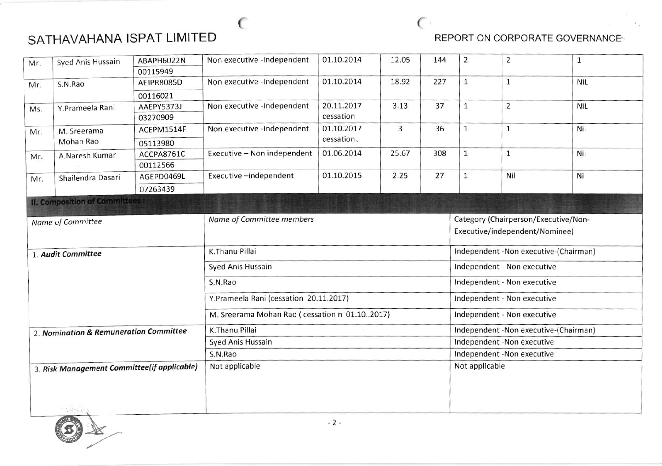# SATHAVAHANA ISPAT LIMITED **Example 20 SECULARY AREA** REPORT ON CORPORATE GOVERNANCE

| Syed Anis Hussain<br>Mr. |                                                                                                                                                                                  | ABAPH6022N | Non executive -Independent                                                                                                                                                                                                                                                                                                                                                                                                                                                                                                                                                                                                                                                                                                                                                                                                                                                                                                                                                                                                                                                                                                                           | 01.10.2014 | 12.05 | 144 | $\overline{2}$ | $\overline{2}$ | $\mathbf{1}$ |  |
|--------------------------|----------------------------------------------------------------------------------------------------------------------------------------------------------------------------------|------------|------------------------------------------------------------------------------------------------------------------------------------------------------------------------------------------------------------------------------------------------------------------------------------------------------------------------------------------------------------------------------------------------------------------------------------------------------------------------------------------------------------------------------------------------------------------------------------------------------------------------------------------------------------------------------------------------------------------------------------------------------------------------------------------------------------------------------------------------------------------------------------------------------------------------------------------------------------------------------------------------------------------------------------------------------------------------------------------------------------------------------------------------------|------------|-------|-----|----------------|----------------|--------------|--|
|                          |                                                                                                                                                                                  | 00115949   | 01.10.2014<br>Non executive -Independent<br>18.92<br>227<br>$\mathbf{1}$<br>$\mathbf 1$<br><b>NIL</b><br>20.11.2017<br>37<br>$\overline{2}$<br>Non executive -Independent<br>3.13<br>$\mathbf{1}$<br><b>NIL</b><br>cessation<br>01.10.2017<br>Non executive -Independent<br>3<br>36<br>Nil<br>$\mathbf{1}$<br>$\mathbf{1}$<br>cessation.<br>01.06.2014<br>Executive - Non independent<br>25.67<br>Nil<br>308<br>$\mathbf{1}$<br>$\mathbf 1$<br>Executive-independent<br>01.10.2015<br>2.25<br>27<br>$\mathbf{1}$<br>Nil<br>Nil<br>Name of Committee members<br>Category (Chairperson/Executive/Non-<br>Executive/independent/Nominee)<br>K.Thanu Pillai<br>Independent - Non executive-(Chairman)<br>Independent - Non executive<br>Syed Anis Hussain<br>Independent - Non executive<br>S.N.Rao<br>Y.Prameela Rani (cessation 20.11.2017)<br>Independent - Non executive<br>M. Sreerama Mohan Rao (cessation n 01.102017)<br>Independent - Non executive<br>K.Thanu Pillai<br>Independent - Non executive-(Chairman)<br>Independent -Non executive<br>Syed Anis Hussain<br>Independent -Non executive<br>S.N.Rao<br>Not applicable<br>Not applicable |            |       |     |                |                |              |  |
| Mr.                      | S.N.Rao                                                                                                                                                                          | AEJPR8085D |                                                                                                                                                                                                                                                                                                                                                                                                                                                                                                                                                                                                                                                                                                                                                                                                                                                                                                                                                                                                                                                                                                                                                      |            |       |     |                |                |              |  |
|                          |                                                                                                                                                                                  | 00116021   |                                                                                                                                                                                                                                                                                                                                                                                                                                                                                                                                                                                                                                                                                                                                                                                                                                                                                                                                                                                                                                                                                                                                                      |            |       |     |                |                |              |  |
| Ms.                      | Y.Prameela Rani                                                                                                                                                                  | AAEPY5373J |                                                                                                                                                                                                                                                                                                                                                                                                                                                                                                                                                                                                                                                                                                                                                                                                                                                                                                                                                                                                                                                                                                                                                      |            |       |     |                |                |              |  |
|                          |                                                                                                                                                                                  | 03270909   |                                                                                                                                                                                                                                                                                                                                                                                                                                                                                                                                                                                                                                                                                                                                                                                                                                                                                                                                                                                                                                                                                                                                                      |            |       |     |                |                |              |  |
| Mr.                      | M. Sreerama                                                                                                                                                                      | ACEPM1514F |                                                                                                                                                                                                                                                                                                                                                                                                                                                                                                                                                                                                                                                                                                                                                                                                                                                                                                                                                                                                                                                                                                                                                      |            |       |     |                |                |              |  |
|                          | Mohan Rao                                                                                                                                                                        | 05113980   |                                                                                                                                                                                                                                                                                                                                                                                                                                                                                                                                                                                                                                                                                                                                                                                                                                                                                                                                                                                                                                                                                                                                                      |            |       |     |                |                |              |  |
|                          | A.Naresh Kumar                                                                                                                                                                   | ACCPA8761C |                                                                                                                                                                                                                                                                                                                                                                                                                                                                                                                                                                                                                                                                                                                                                                                                                                                                                                                                                                                                                                                                                                                                                      |            |       |     |                |                |              |  |
|                          |                                                                                                                                                                                  | 00112566   |                                                                                                                                                                                                                                                                                                                                                                                                                                                                                                                                                                                                                                                                                                                                                                                                                                                                                                                                                                                                                                                                                                                                                      |            |       |     |                |                |              |  |
| Mr.                      | Shailendra Dasari                                                                                                                                                                | AGEPD0469L |                                                                                                                                                                                                                                                                                                                                                                                                                                                                                                                                                                                                                                                                                                                                                                                                                                                                                                                                                                                                                                                                                                                                                      |            |       |     |                |                |              |  |
|                          |                                                                                                                                                                                  | 07263439   |                                                                                                                                                                                                                                                                                                                                                                                                                                                                                                                                                                                                                                                                                                                                                                                                                                                                                                                                                                                                                                                                                                                                                      |            |       |     |                |                |              |  |
|                          |                                                                                                                                                                                  |            |                                                                                                                                                                                                                                                                                                                                                                                                                                                                                                                                                                                                                                                                                                                                                                                                                                                                                                                                                                                                                                                                                                                                                      |            |       |     |                |                |              |  |
|                          |                                                                                                                                                                                  |            |                                                                                                                                                                                                                                                                                                                                                                                                                                                                                                                                                                                                                                                                                                                                                                                                                                                                                                                                                                                                                                                                                                                                                      |            |       |     |                |                |              |  |
|                          |                                                                                                                                                                                  |            |                                                                                                                                                                                                                                                                                                                                                                                                                                                                                                                                                                                                                                                                                                                                                                                                                                                                                                                                                                                                                                                                                                                                                      |            |       |     |                |                |              |  |
|                          |                                                                                                                                                                                  |            |                                                                                                                                                                                                                                                                                                                                                                                                                                                                                                                                                                                                                                                                                                                                                                                                                                                                                                                                                                                                                                                                                                                                                      |            |       |     |                |                |              |  |
|                          |                                                                                                                                                                                  |            |                                                                                                                                                                                                                                                                                                                                                                                                                                                                                                                                                                                                                                                                                                                                                                                                                                                                                                                                                                                                                                                                                                                                                      |            |       |     |                |                |              |  |
|                          | Mr.<br><b>II. Composition of Committees:</b><br>Name of Committee<br>1. Audit Committee<br>2. Nomination & Remuneration Committee<br>3. Risk Management Committee(if applicable) |            |                                                                                                                                                                                                                                                                                                                                                                                                                                                                                                                                                                                                                                                                                                                                                                                                                                                                                                                                                                                                                                                                                                                                                      |            |       |     |                |                |              |  |
|                          |                                                                                                                                                                                  |            |                                                                                                                                                                                                                                                                                                                                                                                                                                                                                                                                                                                                                                                                                                                                                                                                                                                                                                                                                                                                                                                                                                                                                      |            |       |     |                |                |              |  |
|                          |                                                                                                                                                                                  |            |                                                                                                                                                                                                                                                                                                                                                                                                                                                                                                                                                                                                                                                                                                                                                                                                                                                                                                                                                                                                                                                                                                                                                      |            |       |     |                |                |              |  |
|                          |                                                                                                                                                                                  |            |                                                                                                                                                                                                                                                                                                                                                                                                                                                                                                                                                                                                                                                                                                                                                                                                                                                                                                                                                                                                                                                                                                                                                      |            |       |     |                |                |              |  |
|                          |                                                                                                                                                                                  |            |                                                                                                                                                                                                                                                                                                                                                                                                                                                                                                                                                                                                                                                                                                                                                                                                                                                                                                                                                                                                                                                                                                                                                      |            |       |     |                |                |              |  |
|                          |                                                                                                                                                                                  |            |                                                                                                                                                                                                                                                                                                                                                                                                                                                                                                                                                                                                                                                                                                                                                                                                                                                                                                                                                                                                                                                                                                                                                      |            |       |     |                |                |              |  |
|                          |                                                                                                                                                                                  |            |                                                                                                                                                                                                                                                                                                                                                                                                                                                                                                                                                                                                                                                                                                                                                                                                                                                                                                                                                                                                                                                                                                                                                      |            |       |     |                |                |              |  |
|                          |                                                                                                                                                                                  |            |                                                                                                                                                                                                                                                                                                                                                                                                                                                                                                                                                                                                                                                                                                                                                                                                                                                                                                                                                                                                                                                                                                                                                      |            |       |     |                |                |              |  |
|                          |                                                                                                                                                                                  |            |                                                                                                                                                                                                                                                                                                                                                                                                                                                                                                                                                                                                                                                                                                                                                                                                                                                                                                                                                                                                                                                                                                                                                      |            |       |     |                |                |              |  |
|                          |                                                                                                                                                                                  |            |                                                                                                                                                                                                                                                                                                                                                                                                                                                                                                                                                                                                                                                                                                                                                                                                                                                                                                                                                                                                                                                                                                                                                      |            |       |     |                |                |              |  |
|                          |                                                                                                                                                                                  |            |                                                                                                                                                                                                                                                                                                                                                                                                                                                                                                                                                                                                                                                                                                                                                                                                                                                                                                                                                                                                                                                                                                                                                      |            |       |     |                |                |              |  |
|                          |                                                                                                                                                                                  |            |                                                                                                                                                                                                                                                                                                                                                                                                                                                                                                                                                                                                                                                                                                                                                                                                                                                                                                                                                                                                                                                                                                                                                      |            |       |     |                |                |              |  |

 $\sim$  (

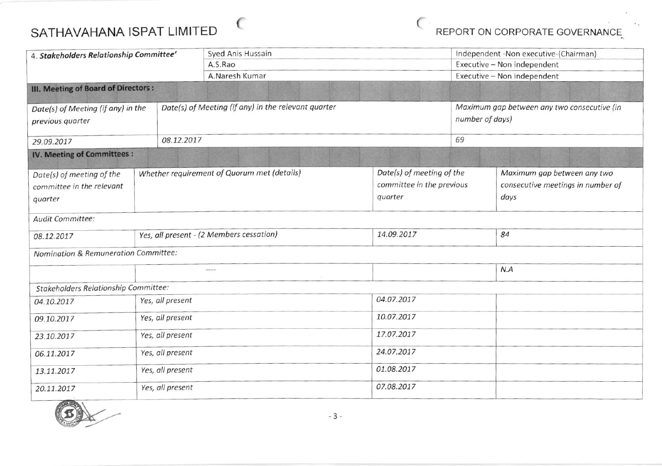## $\epsilon$ SATHAVAHANA ISPAT LIMITED

REPORT ON CORPORATE GOVERNANCE

| 4. Stakeholders Relationship Committee' |                  |                                                     | Syed Anis Hussain                           |            |                                             | Independent -Non executive-(Chairman) |                                                            |  |  |  |
|-----------------------------------------|------------------|-----------------------------------------------------|---------------------------------------------|------------|---------------------------------------------|---------------------------------------|------------------------------------------------------------|--|--|--|
|                                         |                  |                                                     | A.S.Rao                                     |            |                                             |                                       | Executive - Non independent<br>Executive - Non independent |  |  |  |
|                                         |                  |                                                     | A.Naresh Kumar                              |            |                                             |                                       |                                                            |  |  |  |
| III. Meeting of Board of Directors :    |                  |                                                     |                                             |            |                                             |                                       |                                                            |  |  |  |
| Date(s) of Meeting (if any) in the      |                  | Date(s) of Meeting (if any) in the relevant quarter |                                             |            | Maximum gap between any two consecutive (in |                                       |                                                            |  |  |  |
| previous quarter                        |                  |                                                     |                                             |            |                                             | number of days)                       |                                                            |  |  |  |
| 29.09.2017                              |                  | 08.12.2017                                          |                                             |            |                                             | 69                                    |                                                            |  |  |  |
| IV. Meeting of Committees:              |                  |                                                     |                                             |            |                                             |                                       |                                                            |  |  |  |
| Date(s) of meeting of the               |                  |                                                     | Whether requirement of Quorum met (details) |            | Date(s) of meeting of the                   |                                       | Maximum gap between any two                                |  |  |  |
| committee in the relevant               |                  |                                                     |                                             |            | committee in the previous                   |                                       | consecutive meetings in number of                          |  |  |  |
| quarter                                 |                  |                                                     |                                             | quarter    |                                             |                                       | days                                                       |  |  |  |
| Audit Committee:                        |                  |                                                     |                                             |            |                                             |                                       |                                                            |  |  |  |
| 08.12.2017                              |                  | Yes, all present - (2 Members cessation)            |                                             | 14.09.2017 |                                             | 84                                    |                                                            |  |  |  |
| Nomination & Remuneration Committee:    |                  |                                                     |                                             |            |                                             |                                       |                                                            |  |  |  |
|                                         |                  |                                                     | ----                                        |            |                                             |                                       | N.A                                                        |  |  |  |
| Stakeholders Relationship Committee:    |                  |                                                     |                                             |            |                                             |                                       |                                                            |  |  |  |
| 04.10.2017                              | Yes, all present |                                                     |                                             |            | 04.07.2017                                  |                                       |                                                            |  |  |  |
| 09.10.2017                              | Yes, all present |                                                     |                                             | 10.07.2017 |                                             |                                       |                                                            |  |  |  |
| 23.10.2017                              | Yes, all present |                                                     |                                             | 17.07.2017 |                                             |                                       |                                                            |  |  |  |
| 06.11.2017                              | Yes, all present |                                                     |                                             | 24.07.2017 |                                             |                                       |                                                            |  |  |  |
| 13.11.2017                              |                  | Yes, all present                                    |                                             |            | 01.08.2017                                  |                                       |                                                            |  |  |  |
| 20.11.2017                              |                  | Yes, all present                                    |                                             |            | 07.08.2017                                  |                                       |                                                            |  |  |  |

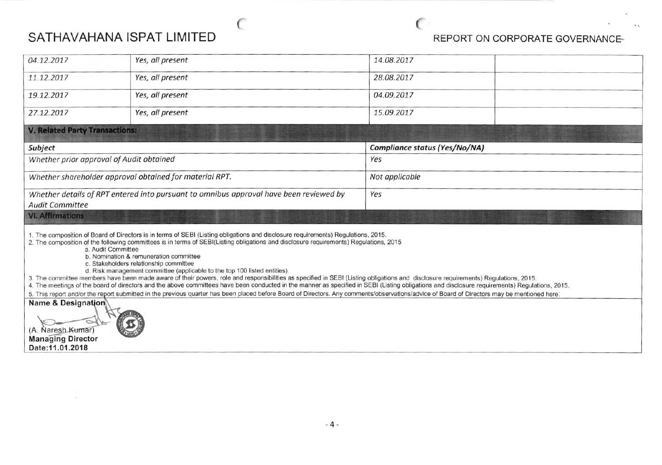# SATHAVAHANA ISPAT LIMITED

 $\langle \psi \rangle$ 

€

# REPORT ON CORPORATE GOVERNANCE-

 $\lambda$ 

 $+1$ 

 $\mathbb{C}$ 

| 04.12.2017                                                                                                                                                                                                                                                                                                                                                                                                                                                                                                                                                                                                                                                                              | Yes, all present | 14.08.2017                    |  |  |  |  |  |  |
|-----------------------------------------------------------------------------------------------------------------------------------------------------------------------------------------------------------------------------------------------------------------------------------------------------------------------------------------------------------------------------------------------------------------------------------------------------------------------------------------------------------------------------------------------------------------------------------------------------------------------------------------------------------------------------------------|------------------|-------------------------------|--|--|--|--|--|--|
| 11.12.2017                                                                                                                                                                                                                                                                                                                                                                                                                                                                                                                                                                                                                                                                              | Yes, all present | 28.08.2017                    |  |  |  |  |  |  |
| 19.12.2017                                                                                                                                                                                                                                                                                                                                                                                                                                                                                                                                                                                                                                                                              | Yes, all present | 04.09.2017                    |  |  |  |  |  |  |
| 27.12.2017                                                                                                                                                                                                                                                                                                                                                                                                                                                                                                                                                                                                                                                                              | Yes, all present | 15.09.2017                    |  |  |  |  |  |  |
|                                                                                                                                                                                                                                                                                                                                                                                                                                                                                                                                                                                                                                                                                         |                  |                               |  |  |  |  |  |  |
| Subject                                                                                                                                                                                                                                                                                                                                                                                                                                                                                                                                                                                                                                                                                 |                  | Compliance status (Yes/No/NA) |  |  |  |  |  |  |
|                                                                                                                                                                                                                                                                                                                                                                                                                                                                                                                                                                                                                                                                                         |                  | Yes                           |  |  |  |  |  |  |
|                                                                                                                                                                                                                                                                                                                                                                                                                                                                                                                                                                                                                                                                                         |                  | Not applicable                |  |  |  |  |  |  |
|                                                                                                                                                                                                                                                                                                                                                                                                                                                                                                                                                                                                                                                                                         |                  | Yes                           |  |  |  |  |  |  |
| <b>VI. Affirmations</b>                                                                                                                                                                                                                                                                                                                                                                                                                                                                                                                                                                                                                                                                 |                  |                               |  |  |  |  |  |  |
| 1. The composition of Board of Directors is in terms of SEBI (Listing obligations and disclosure requirements) Regulations, 2015.<br>2. The composition of the following committees is in terms of SEBI(Listing obligations and disclosure requirements) Regulations, 2015<br>a. Audit Committee<br>b. Nomination & remuneration committee<br>c. Stakeholders relationship committee<br>d. Risk management committee (applicable to the top 100 listed entities)<br>3. The committee members have been made aware of their powers, role and responsibilities as specified in SEBI (Listing obligations and disclosure requirements) Regulations, 2015.                                  |                  |                               |  |  |  |  |  |  |
| <b>V. Related Party Transactions:</b><br>Whether prior approval of Audit obtained<br>Whether shareholder approval obtained for material RPT.<br>Whether details of RPT entered into pursuant to omnibus approval have been reviewed by<br><b>Audit Committee</b><br>4. The meetings of the board of directors and the above committees have been conducted in the manner as specified in SEBI (Listing obligations and disclosure requirements) Regulations, 2015.<br>5. This report and/or the report submitted in the previous quarter has been placed before Board of Directors. Any comments/observations/advice of Board of Directors may be mentioned here:<br>Name & Designation |                  |                               |  |  |  |  |  |  |
| (A. Naresh Kumar)<br><b>Managing Director</b><br>Date: 11.01.2018                                                                                                                                                                                                                                                                                                                                                                                                                                                                                                                                                                                                                       |                  |                               |  |  |  |  |  |  |